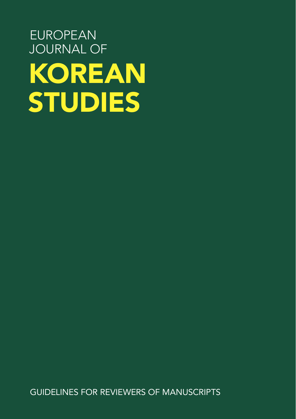## EUROPEAN JOURNAL OF KOREAN STUDIES

GUIDELINES FOR REVIEWERS OF MANUSCRIPTS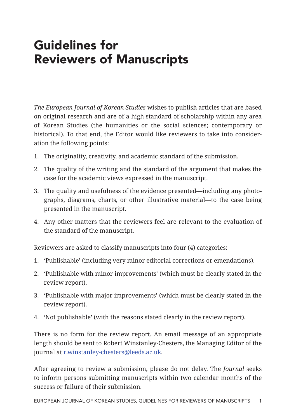## Guidelines for Reviewers of Manuscripts

*The European Journal of Korean Studies* wishes to publish articles that are based on original research and are of a high standard of scholarship within any area of Korean Studies (the humanities or the social sciences; contemporary or historical). To that end, the Editor would like reviewers to take into consideration the following points:

- 1. The originality, creativity, and academic standard of the submission.
- 2. The quality of the writing and the standard of the argument that makes the case for the academic views expressed in the manuscript.
- 3. The quality and usefulness of the evidence presented—including any photographs, diagrams, charts, or other illustrative material—to the case being presented in the manuscript.
- 4. Any other matters that the reviewers feel are relevant to the evaluation of the standard of the manuscript.

Reviewers are asked to classify manuscripts into four (4) categories:

- 1. 'Publishable' (including very minor editorial corrections or emendations).
- 2. 'Publishable with minor improvements' (which must be clearly stated in the review report).
- 3. 'Publishable with major improvements' (which must be clearly stated in the review report).
- 4. 'Not publishable' (with the reasons stated clearly in the review report).

There is no form for the review report. An email message of an appropriate length should be sent to Robert Winstanley-Chesters, the Managing Editor of the journal at r.winstanley-chesters@leeds.ac.uk.

After agreeing to review a submission, please do not delay. The *Journal* seeks to inform persons submitting manuscripts within two calendar months of the success or failure of their submission.